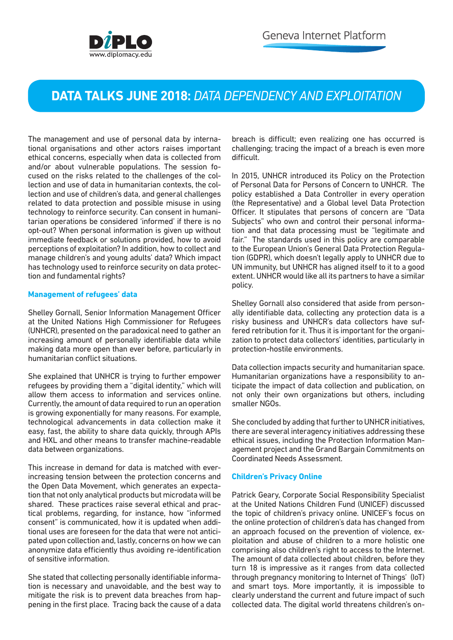## **DATA TALKS JUNE 2018:** *DATA DEPENDENCY AND EXPLOITATION*

The management and use of personal data by international organisations and other actors raises important ethical concerns, especially when data is collected from and/or about vulnerable populations. The session focused on the risks related to the challenges of the collection and use of data in humanitarian contexts, the collection and use of children's data, and general challenges related to data protection and possible misuse in using technology to reinforce security. Can consent in humanitarian operations be considered 'informed' if there is no opt-out? When personal information is given up without immediate feedback or solutions provided, how to avoid perceptions of exploitation? In addition, how to collect and manage children's and young adults' data? Which impact has technology used to reinforce security on data protection and fundamental rights?

## **Management of refugees' data**

Shelley Gornall, Senior Information Management Officer at the United Nations High Commissioner for Refugees (UNHCR), presented on the paradoxical need to gather an increasing amount of personally identifiable data while making data more open than ever before, particularly in humanitarian conflict situations.

She explained that UNHCR is trying to further empower refugees by providing them a "digital identity," which will allow them access to information and services online. Currently, the amount of data required to run an operation is growing exponentially for many reasons. For example, technological advancements in data collection make it easy, fast, the ability to share data quickly, through APIs and HXL and other means to transfer machine-readable data between organizations.

This increase in demand for data is matched with everincreasing tension between the protection concerns and the Open Data Movement, which generates an expectation that not only analytical products but microdata will be shared. These practices raise several ethical and practical problems, regarding, for instance, how "informed consent" is communicated, how it is updated when additional uses are foreseen for the data that were not anticipated upon collection and, lastly, concerns on how we can anonymize data efficiently thus avoiding re-identification of sensitive information.

She stated that collecting personally identifiable information is necessary and unavoidable, and the best way to mitigate the risk is to prevent data breaches from happening in the first place. Tracing back the cause of a data

breach is difficult; even realizing one has occurred is challenging; tracing the impact of a breach is even more difficult.

In 2015, UNHCR introduced its Policy on the Protection of Personal Data for Persons of Concern to UNHCR. The policy established a Data Controller in every operation (the Representative) and a Global level Data Protection Officer. It stipulates that persons of concern are "Data Subjects" who own and control their personal information and that data processing must be "legitimate and fair." The standards used in this policy are comparable to the European Union's General Data Protection Regulation (GDPR), which doesn't legally apply to UNHCR due to UN immunity, but UNHCR has aligned itself to it to a good extent. UNHCR would like all its partners to have a similar policy.

Shelley Gornall also considered that aside from personally identifiable data, collecting any protection data is a risky business and UNHCR's data collectors have suffered retribution for it. Thus it is important for the organization to protect data collectors' identities, particularly in protection-hostile environments.

Data collection impacts security and humanitarian space. Humanitarian organizations have a responsibility to anticipate the impact of data collection and publication, on not only their own organizations but others, including smaller NGOs.

She concluded by adding that further to UNHCR initiatives, there are several interagency initiatives addressing these ethical issues, including the Protection Information Management project and the Grand Bargain Commitments on Coordinated Needs Assessment.

## **Children's Privacy Online**

Patrick Geary, Corporate Social Responsibility Specialist at the United Nations Children Fund (UNICEF) discussed the topic of children's privacy online. UNICEF's focus on the online protection of children's data has changed from an approach focused on the prevention of violence, exploitation and abuse of children to a more holistic one comprising also children's right to access to the Internet. The amount of data collected about children, before they turn 18 is impressive as it ranges from data collected through pregnancy monitoring to Internet of Things' (IoT) and smart toys. More importantly, it is impossible to clearly understand the current and future impact of such collected data. The digital world threatens children's on-